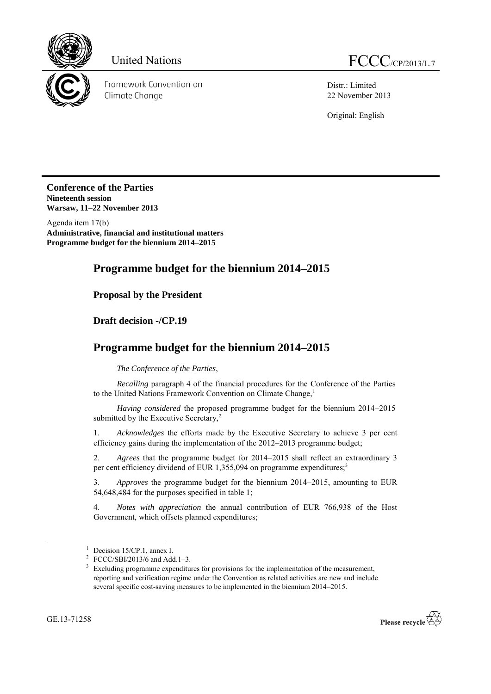

Framework Convention on Climate Change

Distr.: Limited 22 November 2013

Original: English

**Conference of the Parties Nineteenth session Warsaw, 11–22 November 2013**

Agenda item 17(b) **Administrative, financial and institutional matters Programme budget for the biennium 2014–2015**

# **Programme budget for the biennium 2014–2015**

**Proposal by the President**

**Draft decision -/CP.19**

# **Programme budget for the biennium 2014–2015**

*The Conference of the Parties*,

*Recalling* paragraph 4 of the financial procedures for the Conference of the Parties to the United Nations Framework Convention on Climate Change,<sup>1</sup>

*Having considered* the proposed programme budget for the biennium 2014–2015 submitted by the Executive Secretary,<sup>2</sup>

1. *Acknowledges* the efforts made by the Executive Secretary to achieve 3 per cent efficiency gains during the implementation of the 2012–2013 programme budget;

2. *Agrees* that the programme budget for 2014–2015 shall reflect an extraordinary 3 per cent efficiency dividend of EUR 1,355,094 on programme expenditures;<sup>3</sup>

3. *Approves* the programme budget for the biennium 2014–2015, amounting to EUR 54,648,484 for the purposes specified in table 1;

4. *Notes with appreciation* the annual contribution of EUR 766,938 of the Host Government, which offsets planned expenditures;

-



 $1$  Decision 15/CP.1, annex I.

<sup>&</sup>lt;sup>2</sup> FCCC/SBI/2013/6 and Add. 1–3.

<sup>&</sup>lt;sup>3</sup> Excluding programme expenditures for provisions for the implementation of the measurement, reporting and verification regime under the Convention as related activities are new and include several specific cost-saving measures to be implemented in the biennium 2014–2015.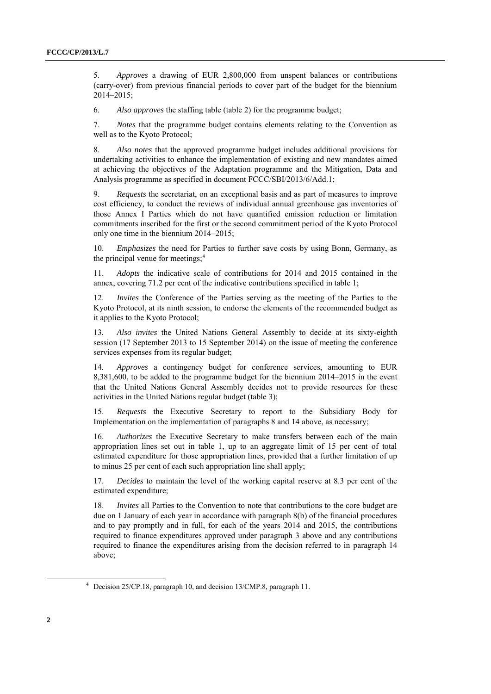5. *Approves* a drawing of EUR 2,800,000 from unspent balances or contributions (carry-over) from previous financial periods to cover part of the budget for the biennium 2014–2015;

6. *Also approves* the staffing table (table 2) for the programme budget;

7. *Notes* that the programme budget contains elements relating to the Convention as well as to the Kyoto Protocol;

8. *Also notes* that the approved programme budget includes additional provisions for undertaking activities to enhance the implementation of existing and new mandates aimed at achieving the objectives of the Adaptation programme and the Mitigation, Data and Analysis programme as specified in document FCCC/SBI/2013/6/Add.1;

9. *Requests* the secretariat, on an exceptional basis and as part of measures to improve cost efficiency, to conduct the reviews of individual annual greenhouse gas inventories of those Annex I Parties which do not have quantified emission reduction or limitation commitments inscribed for the first or the second commitment period of the Kyoto Protocol only one time in the biennium 2014–2015;

10. *Emphasizes* the need for Parties to further save costs by using Bonn, Germany, as the principal venue for meetings: $4$ 

11. *Adopts* the indicative scale of contributions for 2014 and 2015 contained in the annex, covering 71.2 per cent of the indicative contributions specified in table 1;

12. *Invites* the Conference of the Parties serving as the meeting of the Parties to the Kyoto Protocol, at its ninth session, to endorse the elements of the recommended budget as it applies to the Kyoto Protocol;

13*. Also invites* the United Nations General Assembly to decide at its sixty-eighth session (17 September 2013 to 15 September 2014) on the issue of meeting the conference services expenses from its regular budget;

14*. Approves* a contingency budget for conference services, amounting to EUR 8,381,600, to be added to the programme budget for the biennium 2014–2015 in the event that the United Nations General Assembly decides not to provide resources for these activities in the United Nations regular budget (table 3);

15. *Requests* the Executive Secretary to report to the Subsidiary Body for Implementation on the implementation of paragraphs 8 and 14 above, as necessary;

16. *Authorizes* the Executive Secretary to make transfers between each of the main appropriation lines set out in table 1, up to an aggregate limit of 15 per cent of total estimated expenditure for those appropriation lines, provided that a further limitation of up to minus 25 per cent of each such appropriation line shall apply;

17. *Decides* to maintain the level of the working capital reserve at 8.3 per cent of the estimated expenditure;

18. *Invites* all Parties to the Convention to note that contributions to the core budget are due on 1 January of each year in accordance with paragraph 8(b) of the financial procedures and to pay promptly and in full, for each of the years 2014 and 2015, the contributions required to finance expenditures approved under paragraph 3 above and any contributions required to finance the expenditures arising from the decision referred to in paragraph 14 above;

-

<sup>4</sup> Decision 25/CP.18, paragraph 10, and decision 13/CMP.8, paragraph 11.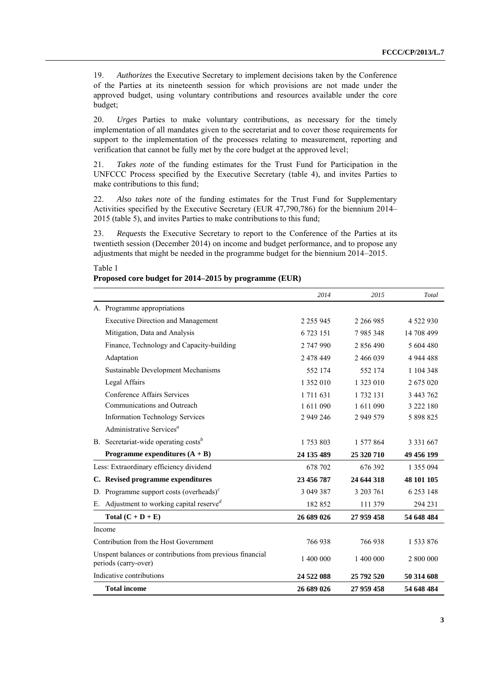19. *Authorizes* the Executive Secretary to implement decisions taken by the Conference of the Parties at its nineteenth session for which provisions are not made under the approved budget, using voluntary contributions and resources available under the core budget;

20. *Urges* Parties to make voluntary contributions, as necessary for the timely implementation of all mandates given to the secretariat and to cover those requirements for support to the implementation of the processes relating to measurement, reporting and verification that cannot be fully met by the core budget at the approved level;

21. *Takes note* of the funding estimates for the Trust Fund for Participation in the UNFCCC Process specified by the Executive Secretary (table 4), and invites Parties to make contributions to this fund;

22. *Also takes note* of the funding estimates for the Trust Fund for Supplementary Activities specified by the Executive Secretary (EUR 47,790,786) for the biennium 2014– 2015 (table 5), and invites Parties to make contributions to this fund;

23. *Requests* the Executive Secretary to report to the Conference of the Parties at its twentieth session (December 2014) on income and budget performance, and to propose any adjustments that might be needed in the programme budget for the biennium 2014–2015.

#### Table 1

### **Proposed core budget for 2014–2015 by programme (EUR)**

|    |                                                                                   | 2014          | 2015       | Total         |
|----|-----------------------------------------------------------------------------------|---------------|------------|---------------|
|    | A. Programme appropriations                                                       |               |            |               |
|    | <b>Executive Direction and Management</b>                                         | 2 2 5 9 9 4 5 | 2 266 985  | 4 5 2 2 9 3 0 |
|    | Mitigation, Data and Analysis                                                     | 6 723 151     | 7985348    | 14 708 499    |
|    | Finance, Technology and Capacity-building                                         | 2 747 990     | 2 856 490  | 5 604 480     |
|    | Adaptation                                                                        | 2 478 449     | 2 466 039  | 4 944 488     |
|    | Sustainable Development Mechanisms                                                | 552 174       | 552 174    | 1 104 348     |
|    | Legal Affairs                                                                     | 1 352 010     | 1 323 010  | 2 675 020     |
|    | Conference Affairs Services                                                       | 1 711 631     | 1732 131   | 3 443 762     |
|    | Communications and Outreach                                                       | 1 611 090     | 1 611 090  | 3 222 180     |
|    | <b>Information Technology Services</b>                                            | 2 949 246     | 2 949 579  | 5 898 825     |
|    | Administrative Services <sup>a</sup>                                              |               |            |               |
|    | B. Secretariat-wide operating $\text{costs}^b$                                    | 1 753 803     | 1 577 864  | 3 3 3 1 6 6 7 |
|    | Programme expenditures $(A + B)$                                                  | 24 135 489    | 25 320 710 | 49 456 199    |
|    | Less: Extraordinary efficiency dividend                                           | 678 702       | 676 392    | 1 355 094     |
|    | C. Revised programme expenditures                                                 | 23 456 787    | 24 644 318 | 48 101 105    |
|    | D. Programme support costs (overheads) $\epsilon$                                 | 3 049 387     | 3 203 761  | 6 2 5 3 1 4 8 |
| Е. | Adjustment to working capital reserved                                            | 182852        | 111 379    | 294 231       |
|    | Total $(C + D + E)$                                                               | 26 689 026    | 27 959 458 | 54 648 484    |
|    | Income                                                                            |               |            |               |
|    | Contribution from the Host Government                                             | 766938        | 766938     | 1 533 876     |
|    | Unspent balances or contributions from previous financial<br>periods (carry-over) | 1 400 000     | 1 400 000  | 2 800 000     |
|    | Indicative contributions                                                          | 24 522 088    | 25 792 520 | 50 314 608    |
|    | <b>Total income</b>                                                               | 26 689 026    | 27 959 458 | 54 648 484    |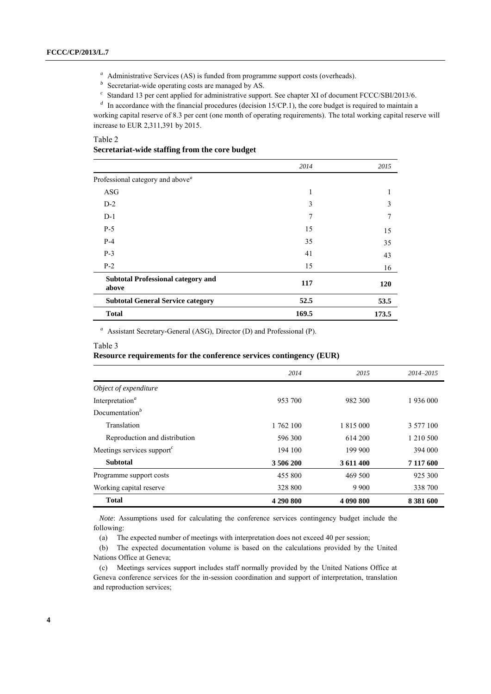<sup>a</sup> Administrative Services (AS) is funded from programme support costs (overheads).

 *Secretariat-wide operating costs are managed by AS.* 

<sup>c</sup> Standard 13 per cent applied for administrative support. See chapter XI of document FCCC/SBI/2013/6.

<sup>*d*</sup> In accordance with the financial procedures (decision 15/CP.1), the core budget is required to maintain a working capital reserve of 8.3 per cent (one month of operating requirements). The total working capital reserve will increase to EUR 2,311,391 by 2015.

Table 2

#### **Secretariat-wide staffing from the core budget**

|                                                    | 2014  | 2015  |
|----------------------------------------------------|-------|-------|
| Professional category and above <sup>a</sup>       |       |       |
| ASG                                                | 1     | 1     |
| $D-2$                                              | 3     | 3     |
| $D-1$                                              | 7     | 7     |
| $P-5$                                              | 15    | 15    |
| $P-4$                                              | 35    | 35    |
| $P-3$                                              | 41    | 43    |
| $P-2$                                              | 15    | 16    |
| <b>Subtotal Professional category and</b><br>above | 117   | 120   |
| <b>Subtotal General Service category</b>           | 52.5  | 53.5  |
| <b>Total</b>                                       | 169.5 | 173.5 |

*<sup>a</sup>*Assistant Secretary-General (ASG), Director (D) and Professional (P).

#### Table 3

## **Resource requirements for the conference services contingency (EUR)**

|                                      | 2014      | 2015      | 2014-2015 |
|--------------------------------------|-----------|-----------|-----------|
| Object of expenditure                |           |           |           |
| Interpretation <sup>a</sup>          | 953 700   | 982 300   | 1 936 000 |
| Documentation <sup>b</sup>           |           |           |           |
| Translation                          | 1 762 100 | 1 815 000 | 3 577 100 |
| Reproduction and distribution        | 596300    | 614 200   | 1 210 500 |
| Meetings services support $\epsilon$ | 194 100   | 199 900   | 394 000   |
| <b>Subtotal</b>                      | 3 506 200 | 3 611 400 | 7 117 600 |
| Programme support costs              | 455 800   | 469 500   | 925 300   |
| Working capital reserve              | 328 800   | 9 9 0 0   | 338 700   |
| <b>Total</b>                         | 4 290 800 | 4 090 800 | 8 381 600 |

*Note*: Assumptions used for calculating the conference services contingency budget include the following:

(a) The expected number of meetings with interpretation does not exceed 40 per session;

(b) The expected documentation volume is based on the calculations provided by the United Nations Office at Geneva;

(c) Meetings services support includes staff normally provided by the United Nations Office at Geneva conference services for the in-session coordination and support of interpretation, translation and reproduction services;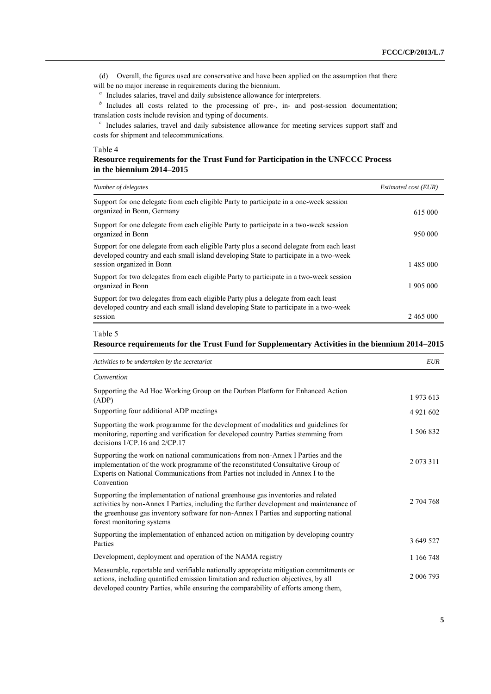(d) Overall, the figures used are conservative and have been applied on the assumption that there will be no major increase in requirements during the biennium.

<sup>a</sup> Includes salaries, travel and daily subsistence allowance for interpreters.

*b*Includes all costs related to the processing of pre-, in- and post-session documentation; translation costs include revision and typing of documents.

<sup>c</sup> Includes salaries, travel and daily subsistence allowance for meeting services support staff and costs for shipment and telecommunications.

### Table 4

| Resource requirements for the Trust Fund for Participation in the UNFCCC Process |  |  |
|----------------------------------------------------------------------------------|--|--|
| in the biennium 2014–2015 $\,$                                                   |  |  |

| Number of delegates                                                                                                                                                               | Estimated cost (EUR) |
|-----------------------------------------------------------------------------------------------------------------------------------------------------------------------------------|----------------------|
| Support for one delegate from each eligible Party to participate in a one-week session<br>organized in Bonn, Germany                                                              |                      |
|                                                                                                                                                                                   | 615 000              |
| Support for one delegate from each eligible Party to participate in a two-week session<br>organized in Bonn                                                                       | 950 000              |
| Support for one delegate from each eligible Party plus a second delegate from each least<br>developed country and each small island developing State to participate in a two-week |                      |
| session organized in Bonn                                                                                                                                                         | 1485 000             |
| Support for two delegates from each eligible Party to participate in a two-week session                                                                                           |                      |
| organized in Bonn                                                                                                                                                                 | 1 905 000            |
| Support for two delegates from each eligible Party plus a delegate from each least<br>developed country and each small island developing State to participate in a two-week       |                      |
| session                                                                                                                                                                           | 2465 000             |

#### Table 5

### **Resource requirements for the Trust Fund for Supplementary Activities in the biennium 2014–2015**

| Activities to be undertaken by the secretariat                                                                                                                                                                                                                                                    | <b>EUR</b>   |
|---------------------------------------------------------------------------------------------------------------------------------------------------------------------------------------------------------------------------------------------------------------------------------------------------|--------------|
| Convention                                                                                                                                                                                                                                                                                        |              |
| Supporting the Ad Hoc Working Group on the Durban Platform for Enhanced Action<br>(ADP)                                                                                                                                                                                                           | 1973613      |
| Supporting four additional ADP meetings                                                                                                                                                                                                                                                           | 4 9 21 6 0 2 |
| Supporting the work programme for the development of modalities and guidelines for<br>monitoring, reporting and verification for developed country Parties stemming from<br>decisions $1/CP.16$ and $2/CP.17$                                                                                     | 1 506 832    |
| Supporting the work on national communications from non-Annex I Parties and the<br>implementation of the work programme of the reconstituted Consultative Group of<br>Experts on National Communications from Parties not included in Annex I to the<br>Convention                                | 2 073 311    |
| Supporting the implementation of national greenhouse gas inventories and related<br>activities by non-Annex I Parties, including the further development and maintenance of<br>the greenhouse gas inventory software for non-Annex I Parties and supporting national<br>forest monitoring systems | 2 704 768    |
| Supporting the implementation of enhanced action on mitigation by developing country<br>Parties                                                                                                                                                                                                   | 3 649 527    |
| Development, deployment and operation of the NAMA registry                                                                                                                                                                                                                                        | 1 166 748    |
| Measurable, reportable and verifiable nationally appropriate mitigation commitments or<br>actions, including quantified emission limitation and reduction objectives, by all<br>developed country Parties, while ensuring the comparability of efforts among them,                                | 2 006 793    |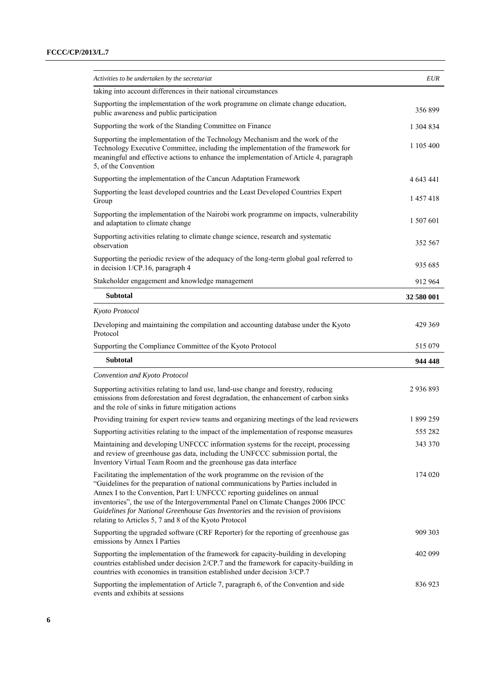| Activities to be undertaken by the secretariat                                                                                                                                                                                                                                                                                                                                                                                                                                   | <b>EUR</b> |
|----------------------------------------------------------------------------------------------------------------------------------------------------------------------------------------------------------------------------------------------------------------------------------------------------------------------------------------------------------------------------------------------------------------------------------------------------------------------------------|------------|
| taking into account differences in their national circumstances                                                                                                                                                                                                                                                                                                                                                                                                                  |            |
| Supporting the implementation of the work programme on climate change education,<br>public awareness and public participation                                                                                                                                                                                                                                                                                                                                                    | 356899     |
| Supporting the work of the Standing Committee on Finance                                                                                                                                                                                                                                                                                                                                                                                                                         | 1 304 834  |
| Supporting the implementation of the Technology Mechanism and the work of the<br>Technology Executive Committee, including the implementation of the framework for<br>meaningful and effective actions to enhance the implementation of Article 4, paragraph<br>5, of the Convention                                                                                                                                                                                             | 1 105 400  |
| Supporting the implementation of the Cancun Adaptation Framework                                                                                                                                                                                                                                                                                                                                                                                                                 | 4 643 441  |
| Supporting the least developed countries and the Least Developed Countries Expert<br>Group                                                                                                                                                                                                                                                                                                                                                                                       | 1 457 418  |
| Supporting the implementation of the Nairobi work programme on impacts, vulnerability<br>and adaptation to climate change                                                                                                                                                                                                                                                                                                                                                        | 1 507 601  |
| Supporting activities relating to climate change science, research and systematic<br>observation                                                                                                                                                                                                                                                                                                                                                                                 | 352 567    |
| Supporting the periodic review of the adequacy of the long-term global goal referred to<br>in decision 1/CP.16, paragraph 4                                                                                                                                                                                                                                                                                                                                                      | 935 685    |
| Stakeholder engagement and knowledge management                                                                                                                                                                                                                                                                                                                                                                                                                                  | 912 964    |
| <b>Subtotal</b>                                                                                                                                                                                                                                                                                                                                                                                                                                                                  | 32 580 001 |
| Kyoto Protocol                                                                                                                                                                                                                                                                                                                                                                                                                                                                   |            |
| Developing and maintaining the compilation and accounting database under the Kyoto<br>Protocol                                                                                                                                                                                                                                                                                                                                                                                   | 429 369    |
| Supporting the Compliance Committee of the Kyoto Protocol                                                                                                                                                                                                                                                                                                                                                                                                                        | 515 079    |
| <b>Subtotal</b>                                                                                                                                                                                                                                                                                                                                                                                                                                                                  | 944 448    |
| Convention and Kyoto Protocol                                                                                                                                                                                                                                                                                                                                                                                                                                                    |            |
| Supporting activities relating to land use, land-use change and forestry, reducing<br>emissions from deforestation and forest degradation, the enhancement of carbon sinks<br>and the role of sinks in future mitigation actions                                                                                                                                                                                                                                                 | 2 936 893  |
| Providing training for expert review teams and organizing meetings of the lead reviewers                                                                                                                                                                                                                                                                                                                                                                                         | 1899259    |
| Supporting activities relating to the impact of the implementation of response measures                                                                                                                                                                                                                                                                                                                                                                                          | 555 282    |
| Maintaining and developing UNFCCC information systems for the receipt, processing<br>and review of greenhouse gas data, including the UNFCCC submission portal, the<br>Inventory Virtual Team Room and the greenhouse gas data interface                                                                                                                                                                                                                                         | 343 370    |
| Facilitating the implementation of the work programme on the revision of the<br>"Guidelines for the preparation of national communications by Parties included in<br>Annex I to the Convention, Part I: UNFCCC reporting guidelines on annual<br>inventories", the use of the Intergovernmental Panel on Climate Changes 2006 IPCC<br>Guidelines for National Greenhouse Gas Inventories and the revision of provisions<br>relating to Articles 5, 7 and 8 of the Kyoto Protocol | 174 020    |
| Supporting the upgraded software (CRF Reporter) for the reporting of greenhouse gas<br>emissions by Annex I Parties                                                                                                                                                                                                                                                                                                                                                              | 909 303    |
| Supporting the implementation of the framework for capacity-building in developing<br>countries established under decision 2/CP.7 and the framework for capacity-building in<br>countries with economies in transition established under decision 3/CP.7                                                                                                                                                                                                                         | 402 099    |
| Supporting the implementation of Article 7, paragraph 6, of the Convention and side<br>events and exhibits at sessions                                                                                                                                                                                                                                                                                                                                                           | 836 923    |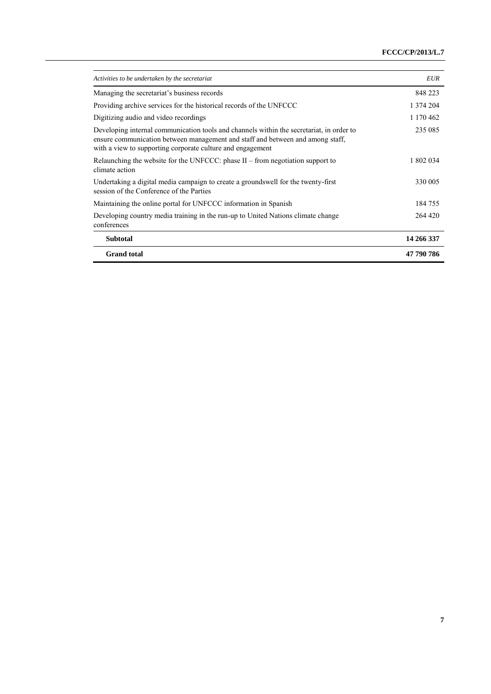| Activities to be undertaken by the secretariat                                                                                                                                                                                           | <b>EUR</b> |
|------------------------------------------------------------------------------------------------------------------------------------------------------------------------------------------------------------------------------------------|------------|
| Managing the secretariat's business records                                                                                                                                                                                              | 848 223    |
| Providing archive services for the historical records of the UNFCCC                                                                                                                                                                      | 1 374 204  |
| Digitizing audio and video recordings                                                                                                                                                                                                    | 1 170 462  |
| Developing internal communication tools and channels within the secretariat, in order to<br>ensure communication between management and staff and between and among staff.<br>with a view to supporting corporate culture and engagement | 235 085    |
| Relaunching the website for the UNFCCC: phase $II$ – from negotiation support to<br>climate action                                                                                                                                       | 1 802 034  |
| Undertaking a digital media campaign to create a grounds well for the twenty-first<br>session of the Conference of the Parties                                                                                                           | 330 005    |
| Maintaining the online portal for UNFCCC information in Spanish                                                                                                                                                                          | 184755     |
| Developing country media training in the run-up to United Nations climate change<br>conferences                                                                                                                                          | 264 420    |
| <b>Subtotal</b>                                                                                                                                                                                                                          | 14 266 337 |
| <b>Grand</b> total                                                                                                                                                                                                                       | 47 790 786 |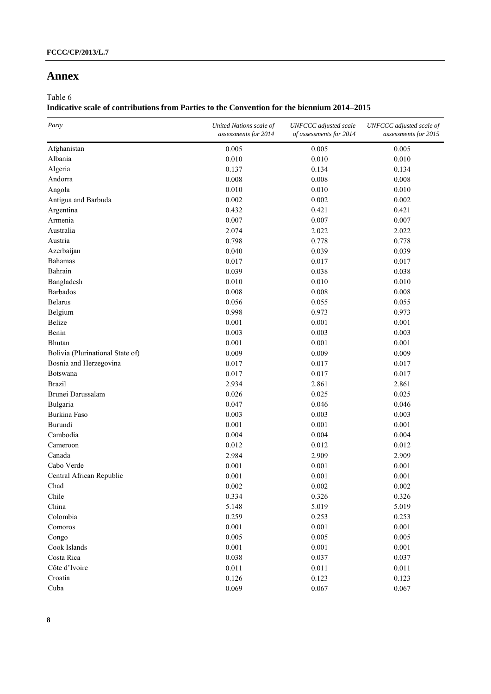## **Annex**

Table 6

## **Indicative scale of contributions from Parties to the Convention for the biennium 2014–2015**

| Party                            | United Nations scale of<br>assessments for 2014 | <b>UNFCCC</b> adjusted scale<br>of assessments for 2014 | UNFCCC adjusted scale of<br>assessments for 2015 |
|----------------------------------|-------------------------------------------------|---------------------------------------------------------|--------------------------------------------------|
| Afghanistan                      | 0.005                                           | 0.005                                                   | 0.005                                            |
| Albania                          | 0.010                                           | 0.010                                                   | 0.010                                            |
| Algeria                          | 0.137                                           | 0.134                                                   | 0.134                                            |
| Andorra                          | 0.008                                           | 0.008                                                   | 0.008                                            |
| Angola                           | 0.010                                           | 0.010                                                   | 0.010                                            |
| Antigua and Barbuda              | 0.002                                           | 0.002                                                   | 0.002                                            |
| Argentina                        | 0.432                                           | 0.421                                                   | 0.421                                            |
| Armenia                          | 0.007                                           | 0.007                                                   | 0.007                                            |
| Australia                        | 2.074                                           | 2.022                                                   | 2.022                                            |
| Austria                          | 0.798                                           | 0.778                                                   | 0.778                                            |
| Azerbaijan                       | 0.040                                           | 0.039                                                   | 0.039                                            |
| Bahamas                          | 0.017                                           | 0.017                                                   | 0.017                                            |
| Bahrain                          | 0.039                                           | 0.038                                                   | 0.038                                            |
| Bangladesh                       | 0.010                                           | 0.010                                                   | 0.010                                            |
| <b>Barbados</b>                  | 0.008                                           | 0.008                                                   | 0.008                                            |
| Belarus                          | 0.056                                           | 0.055                                                   | 0.055                                            |
| Belgium                          | 0.998                                           | 0.973                                                   | 0.973                                            |
| Belize                           | 0.001                                           | 0.001                                                   | 0.001                                            |
| Benin                            | 0.003                                           | 0.003                                                   | 0.003                                            |
| Bhutan                           | 0.001                                           | 0.001                                                   | 0.001                                            |
| Bolivia (Plurinational State of) | 0.009                                           | 0.009                                                   | 0.009                                            |
| Bosnia and Herzegovina           | 0.017                                           | 0.017                                                   | 0.017                                            |
| Botswana                         | 0.017                                           | 0.017                                                   | 0.017                                            |
| <b>Brazil</b>                    | 2.934                                           | 2.861                                                   | 2.861                                            |
| Brunei Darussalam                | 0.026                                           | 0.025                                                   | 0.025                                            |
| Bulgaria                         | 0.047                                           | 0.046                                                   | 0.046                                            |
| Burkina Faso                     | 0.003                                           | 0.003                                                   | 0.003                                            |
| Burundi                          | 0.001                                           | 0.001                                                   | 0.001                                            |
| Cambodia                         | 0.004                                           | 0.004                                                   | 0.004                                            |
| Cameroon                         | 0.012                                           | 0.012                                                   | 0.012                                            |
| Canada                           | 2.984                                           | 2.909                                                   | 2.909                                            |
| Cabo Verde                       | 0.001                                           | 0.001                                                   | 0.001                                            |
| Central African Republic         | 0.001                                           | 0.001                                                   | 0.001                                            |
| Chad                             | 0.002                                           | 0.002                                                   | 0.002                                            |
| Chile                            | 0.334                                           | 0.326                                                   | 0.326                                            |
| China                            | 5.148                                           | 5.019                                                   | 5.019                                            |
| Colombia                         | 0.259                                           | 0.253                                                   | 0.253                                            |
| Comoros                          | 0.001                                           | 0.001                                                   | 0.001                                            |
| Congo                            | 0.005                                           | 0.005                                                   | 0.005                                            |
| Cook Islands                     | 0.001                                           | 0.001                                                   | 0.001                                            |
| Costa Rica                       | 0.038                                           | 0.037                                                   | 0.037                                            |
| Côte d'Ivoire                    | 0.011                                           | 0.011                                                   | 0.011                                            |
| Croatia                          | 0.126                                           | 0.123                                                   | 0.123                                            |
| Cuba                             | 0.069                                           | 0.067                                                   | 0.067                                            |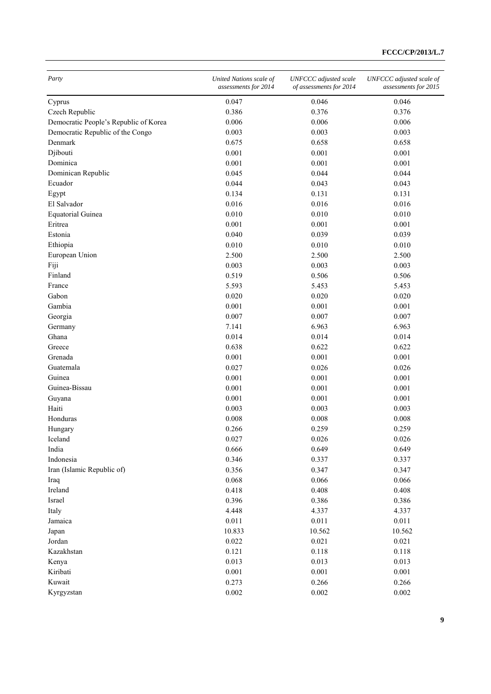| Party                                 | United Nations scale of<br>assessments for 2014 | <b>UNFCCC</b> adjusted scale<br>of assessments for 2014 | UNFCCC adjusted scale of<br>assessments for 2015 |
|---------------------------------------|-------------------------------------------------|---------------------------------------------------------|--------------------------------------------------|
| Cyprus                                | 0.047                                           | 0.046                                                   | 0.046                                            |
| Czech Republic                        | 0.386                                           | 0.376                                                   | 0.376                                            |
| Democratic People's Republic of Korea | 0.006                                           | 0.006                                                   | 0.006                                            |
| Democratic Republic of the Congo      | 0.003                                           | 0.003                                                   | 0.003                                            |
| Denmark                               | 0.675                                           | 0.658                                                   | 0.658                                            |
| Djibouti                              | 0.001                                           | 0.001                                                   | 0.001                                            |
| Dominica                              | 0.001                                           | 0.001                                                   | 0.001                                            |
| Dominican Republic                    | 0.045                                           | 0.044                                                   | 0.044                                            |
| Ecuador                               | 0.044                                           | 0.043                                                   | 0.043                                            |
| Egypt                                 | 0.134                                           | 0.131                                                   | 0.131                                            |
| El Salvador                           | 0.016                                           | 0.016                                                   | 0.016                                            |
| <b>Equatorial Guinea</b>              | 0.010                                           | 0.010                                                   | 0.010                                            |
| Eritrea                               | 0.001                                           | 0.001                                                   | 0.001                                            |
| Estonia                               | 0.040                                           | 0.039                                                   | 0.039                                            |
| Ethiopia                              | 0.010                                           | 0.010                                                   | 0.010                                            |
| European Union                        | 2.500                                           | 2.500                                                   | 2.500                                            |
| Fiji                                  | 0.003                                           | 0.003                                                   | 0.003                                            |
| Finland                               | 0.519                                           | 0.506                                                   | 0.506                                            |
| France                                | 5.593                                           | 5.453                                                   | 5.453                                            |
| Gabon                                 | 0.020                                           | 0.020                                                   | 0.020                                            |
|                                       |                                                 |                                                         |                                                  |
| Gambia                                | 0.001                                           | 0.001                                                   | 0.001                                            |
| Georgia                               | 0.007                                           | 0.007                                                   | 0.007                                            |
| Germany                               | 7.141                                           | 6.963                                                   | 6.963                                            |
| Ghana                                 | 0.014                                           | 0.014                                                   | 0.014                                            |
| Greece                                | 0.638                                           | 0.622                                                   | 0.622                                            |
| Grenada                               | 0.001                                           | 0.001                                                   | 0.001                                            |
| Guatemala                             | 0.027                                           | 0.026                                                   | 0.026                                            |
| Guinea                                | 0.001                                           | 0.001                                                   | 0.001                                            |
| Guinea-Bissau                         | 0.001                                           | 0.001                                                   | 0.001                                            |
| Guyana                                | 0.001                                           | 0.001                                                   | 0.001                                            |
| Haiti                                 | 0.003                                           | 0.003                                                   | 0.003                                            |
| Honduras                              | 0.008                                           | 0.008                                                   | 0.008                                            |
| Hungary                               | 0.266                                           | 0.259                                                   | 0.259                                            |
| Iceland                               | 0.027                                           | 0.026                                                   | 0.026                                            |
| India                                 | 0.666                                           | 0.649                                                   | 0.649                                            |
| Indonesia                             | 0.346                                           | 0.337                                                   | 0.337                                            |
| Iran (Islamic Republic of)            | 0.356                                           | 0.347                                                   | 0.347                                            |
| Iraq                                  | 0.068                                           | 0.066                                                   | 0.066                                            |
| Ireland                               | 0.418                                           | 0.408                                                   | 0.408                                            |
| Israel                                | 0.396                                           | 0.386                                                   | 0.386                                            |
| Italy                                 | 4.448                                           | 4.337                                                   | 4.337                                            |
| Jamaica                               | 0.011                                           | 0.011                                                   | 0.011                                            |
| Japan                                 | 10.833                                          | 10.562                                                  | 10.562                                           |
| Jordan                                | 0.022                                           | 0.021                                                   | 0.021                                            |
| Kazakhstan                            | 0.121                                           | 0.118                                                   | 0.118                                            |
| Kenya                                 | 0.013                                           | 0.013                                                   | 0.013                                            |
| Kiribati                              | 0.001                                           | 0.001                                                   | 0.001                                            |
| Kuwait                                | 0.273                                           | 0.266                                                   | 0.266                                            |
| Kyrgyzstan                            | 0.002                                           | 0.002                                                   | 0.002                                            |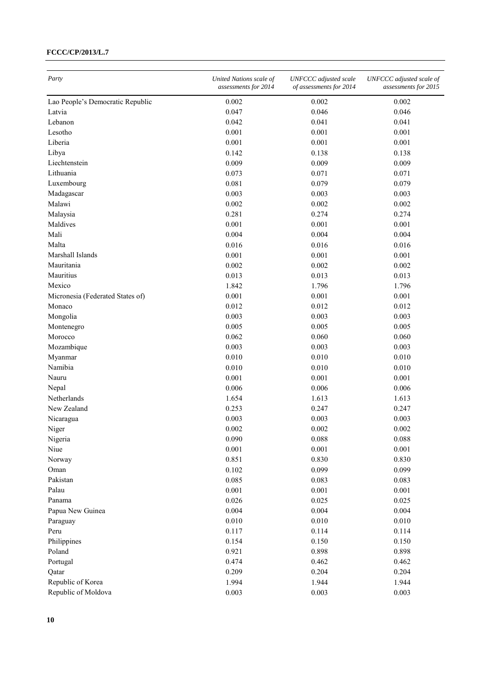| Party                            | United Nations scale of<br>assessments for 2014 | <b>UNFCCC</b> adjusted scale<br>of assessments for 2014 | UNFCCC adjusted scale of<br>assessments for 2015 |
|----------------------------------|-------------------------------------------------|---------------------------------------------------------|--------------------------------------------------|
| Lao People's Democratic Republic | 0.002                                           | 0.002                                                   | 0.002                                            |
| Latvia                           | 0.047                                           | 0.046                                                   | 0.046                                            |
| Lebanon                          | 0.042                                           | 0.041                                                   | 0.041                                            |
| Lesotho                          | 0.001                                           | 0.001                                                   | 0.001                                            |
| Liberia                          | 0.001                                           | 0.001                                                   | 0.001                                            |
| Libya                            | 0.142                                           | 0.138                                                   | 0.138                                            |
| Liechtenstein                    | 0.009                                           | 0.009                                                   | 0.009                                            |
| Lithuania                        | 0.073                                           | 0.071                                                   | 0.071                                            |
| Luxembourg                       | 0.081                                           | 0.079                                                   | 0.079                                            |
| Madagascar                       | 0.003                                           | 0.003                                                   | 0.003                                            |
| Malawi                           | 0.002                                           | 0.002                                                   | 0.002                                            |
| Malaysia                         | 0.281                                           | 0.274                                                   | 0.274                                            |
| Maldives                         | 0.001                                           | 0.001                                                   | 0.001                                            |
| Mali                             | 0.004                                           | 0.004                                                   | 0.004                                            |
| Malta                            | 0.016                                           | 0.016                                                   | 0.016                                            |
| Marshall Islands                 | 0.001                                           | 0.001                                                   | 0.001                                            |
| Mauritania                       | 0.002                                           | 0.002                                                   | 0.002                                            |
| Mauritius                        | 0.013                                           | 0.013                                                   | 0.013                                            |
| Mexico                           | 1.842                                           | 1.796                                                   | 1.796                                            |
| Micronesia (Federated States of) | 0.001                                           | 0.001                                                   | 0.001                                            |
| Monaco                           | 0.012                                           | 0.012                                                   | 0.012                                            |
| Mongolia                         | 0.003                                           | 0.003                                                   | 0.003                                            |
| Montenegro                       | 0.005                                           | 0.005                                                   | 0.005                                            |
| Morocco                          | 0.062                                           | 0.060                                                   | 0.060                                            |
|                                  |                                                 |                                                         |                                                  |
| Mozambique                       | 0.003                                           | 0.003                                                   | 0.003                                            |
| Myanmar                          | 0.010                                           | 0.010                                                   | 0.010                                            |
| Namibia                          | 0.010                                           | 0.010                                                   | 0.010                                            |
| Nauru                            | 0.001                                           | 0.001                                                   | 0.001                                            |
| Nepal                            | 0.006                                           | 0.006                                                   | 0.006                                            |
| Netherlands                      | 1.654                                           | 1.613                                                   | 1.613                                            |
| New Zealand                      | 0.253                                           | 0.247                                                   | 0.247                                            |
| Nicaragua                        | 0.003                                           | 0.003                                                   | 0.003                                            |
| Niger                            | 0.002                                           | 0.002                                                   | 0.002                                            |
| Nigeria                          | 0.090                                           | 0.088                                                   | 0.088                                            |
| Niue                             | 0.001                                           | 0.001                                                   | 0.001                                            |
| Norway                           | 0.851                                           | 0.830                                                   | 0.830                                            |
| Oman                             | 0.102                                           | 0.099                                                   | 0.099                                            |
| Pakistan                         | 0.085                                           | 0.083                                                   | 0.083                                            |
| Palau                            | 0.001                                           | 0.001                                                   | 0.001                                            |
| Panama                           | 0.026                                           | 0.025                                                   | 0.025                                            |
| Papua New Guinea                 | 0.004                                           | 0.004                                                   | 0.004                                            |
| Paraguay                         | 0.010                                           | 0.010                                                   | 0.010                                            |
| Peru                             | 0.117                                           | 0.114                                                   | 0.114                                            |
| Philippines                      | 0.154                                           | 0.150                                                   | 0.150                                            |
| Poland                           | 0.921                                           | 0.898                                                   | 0.898                                            |
| Portugal                         | 0.474                                           | 0.462                                                   | 0.462                                            |
| Qatar                            | 0.209                                           | 0.204                                                   | 0.204                                            |
| Republic of Korea                | 1.994                                           | 1.944                                                   | 1.944                                            |
| Republic of Moldova              | 0.003                                           | 0.003                                                   | 0.003                                            |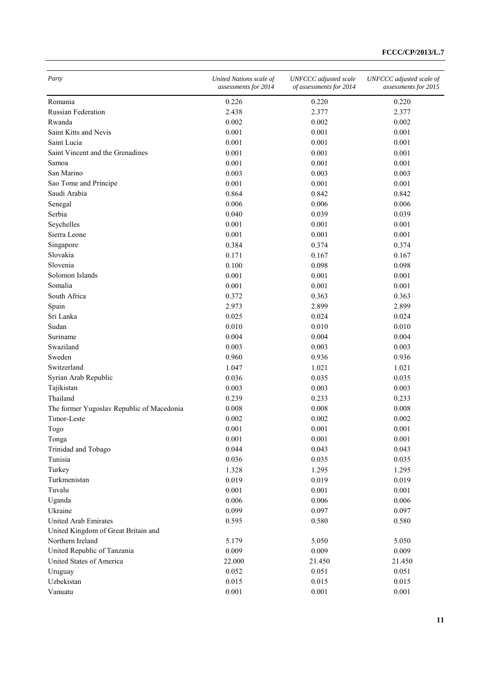| Party                                     | United Nations scale of<br>assessments for 2014 | <b>UNFCCC</b> adjusted scale<br>of assessments for 2014 | UNFCCC adjusted scale of<br>assessments for 2015 |
|-------------------------------------------|-------------------------------------------------|---------------------------------------------------------|--------------------------------------------------|
| Romania                                   | 0.226                                           | 0.220                                                   | 0.220                                            |
| Russian Federation                        | 2.438                                           | 2.377                                                   | 2.377                                            |
| Rwanda                                    | 0.002                                           | 0.002                                                   | 0.002                                            |
| Saint Kitts and Nevis                     | 0.001                                           | 0.001                                                   | 0.001                                            |
| Saint Lucia                               | 0.001                                           | 0.001                                                   | 0.001                                            |
| Saint Vincent and the Grenadines          | 0.001                                           | 0.001                                                   | 0.001                                            |
| Samoa                                     | 0.001                                           | 0.001                                                   | 0.001                                            |
| San Marino                                | 0.003                                           | 0.003                                                   | 0.003                                            |
| Sao Tome and Principe                     | 0.001                                           | 0.001                                                   | 0.001                                            |
| Saudi Arabia                              | 0.864                                           | 0.842                                                   | 0.842                                            |
| Senegal                                   | 0.006                                           | 0.006                                                   | 0.006                                            |
| Serbia                                    | 0.040                                           | 0.039                                                   | 0.039                                            |
| Seychelles                                | 0.001                                           | 0.001                                                   | 0.001                                            |
| Sierra Leone                              | 0.001                                           | 0.001                                                   | 0.001                                            |
| Singapore                                 | 0.384                                           | 0.374                                                   | 0.374                                            |
| Slovakia                                  | 0.171                                           | 0.167                                                   | 0.167                                            |
| Slovenia                                  | 0.100                                           | 0.098                                                   | 0.098                                            |
| Solomon Islands                           | 0.001                                           | 0.001                                                   | 0.001                                            |
| Somalia                                   | 0.001                                           | 0.001                                                   | 0.001                                            |
| South Africa                              | 0.372                                           | 0.363                                                   | 0.363                                            |
| Spain                                     | 2.973                                           | 2.899                                                   | 2.899                                            |
| Sri Lanka                                 | 0.025                                           | 0.024                                                   | 0.024                                            |
| Sudan                                     | 0.010                                           | 0.010                                                   | 0.010                                            |
| Suriname                                  | 0.004                                           | 0.004                                                   | 0.004                                            |
| Swaziland                                 | 0.003                                           | 0.003                                                   | 0.003                                            |
| Sweden                                    | 0.960                                           | 0.936                                                   | 0.936                                            |
| Switzerland                               | 1.047                                           | 1.021                                                   | 1.021                                            |
| Syrian Arab Republic                      | 0.036                                           | 0.035                                                   | 0.035                                            |
|                                           | 0.003                                           | 0.003                                                   | 0.003                                            |
| Tajikistan<br>Thailand                    | 0.239                                           | 0.233                                                   | 0.233                                            |
| The former Yugoslav Republic of Macedonia |                                                 | 0.008                                                   |                                                  |
|                                           | 0.008                                           |                                                         | 0.008                                            |
| Timor-Leste                               | 0.002                                           | 0.002                                                   | 0.002                                            |
| Togo                                      | 0.001                                           | 0.001                                                   | 0.001                                            |
| Tonga                                     | 0.001                                           | 0.001                                                   | 0.001                                            |
| Trinidad and Tobago                       | 0.044                                           | 0.043                                                   | 0.043                                            |
| Tunisia                                   | 0.036                                           | 0.035                                                   | 0.035                                            |
| Turkey                                    | 1.328                                           | 1.295                                                   | 1.295                                            |
| Turkmenistan                              | 0.019                                           | 0.019                                                   | 0.019                                            |
| Tuvalu                                    | 0.001                                           | 0.001                                                   | 0.001                                            |
| Uganda                                    | 0.006                                           | 0.006                                                   | 0.006                                            |
| Ukraine                                   | 0.099                                           | 0.097                                                   | 0.097                                            |
| <b>United Arab Emirates</b>               | 0.595                                           | 0.580                                                   | 0.580                                            |
| United Kingdom of Great Britain and       |                                                 |                                                         |                                                  |
| Northern Ireland                          | 5.179                                           | 5.050                                                   | 5.050                                            |
| United Republic of Tanzania               | 0.009                                           | 0.009                                                   | 0.009                                            |
| United States of America                  | 22.000                                          | 21.450                                                  | 21.450                                           |
| Uruguay                                   | 0.052                                           | 0.051                                                   | 0.051                                            |
| Uzbekistan                                | 0.015                                           | 0.015                                                   | 0.015                                            |
| Vanuatu                                   | 0.001                                           | 0.001                                                   | 0.001                                            |